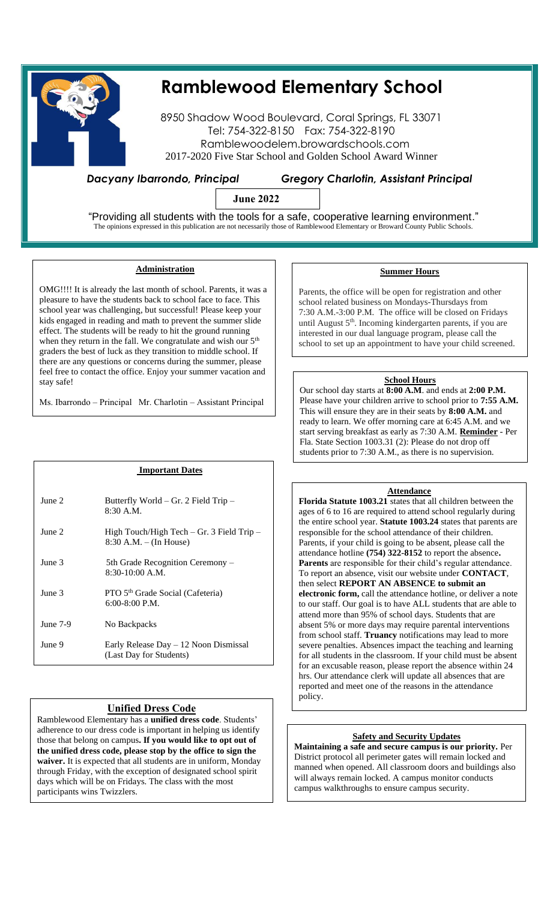

# **Ramblewood Elementary School**

8950 Shadow Wood Boulevard, Coral Springs, FL 33071 Tel: 754-322-8150 Fax: 754-322-8190 Ramblewoodelem.browardschools.com 2017-2020 Five Star School and Golden School Award Winner

*Dacyany Ibarrondo, Principal Gregory Charlotin, Assistant Principal*

**June 2022**

"Providing all students with the tools for a safe, cooperative learning environment." The opinions expressed in this publication are not necessarily those of Ramblewood Elementary or Broward County Public Schools.

# **Administration**

OMG!!!! It is already the last month of school. Parents, it was a pleasure to have the students back to school face to face. This school year was challenging, but successful! Please keep your kids engaged in reading and math to prevent the summer slide effect. The students will be ready to hit the ground running when they return in the fall. We congratulate and wish our  $5<sup>th</sup>$ graders the best of luck as they transition to middle school. If there are any questions or concerns during the summer, please feel free to contact the office. Enjoy your summer vacation and stay safe!

Ms. Ibarrondo – Principal Mr. Charlotin – Assistant Principal

# **Important Dates**

| June 2   | Butterfly World – Gr. 2 Field Trip –<br>$8:30$ A.M.                       |
|----------|---------------------------------------------------------------------------|
| June 2   | High Touch/High Tech $-$ Gr. 3 Field Trip $-$<br>$8:30$ A.M. – (In House) |
| June 3   | 5th Grade Recognition Ceremony –<br>$8:30-10:00$ A.M.                     |
| June 3   | PTO 5 <sup>th</sup> Grade Social (Cafeteria)<br>$6:00-8:00$ P.M.          |
| June 7-9 | No Backpacks                                                              |
| June 9   | Early Release Day - 12 Noon Dismissal<br>(Last Day for Students)          |

# **Unified Dress Code**

Ramblewood Elementary has a **unified dress code**. Students' adherence to our dress code is important in helping us identify those that belong on campus**. If you would like to opt out of the unified dress code, please stop by the office to sign the waiver.** It is expected that all students are in uniform, Monday through Friday, with the exception of designated school spirit days which will be on Fridays. The class with the most participants wins Twizzlers.

## **Summer Hours**

Parents, the office will be open for registration and other school related business on Mondays-Thursdays from 7:30 A.M.-3:00 P.M. The office will be closed on Fridays until August 5<sup>th</sup>. Incoming kindergarten parents, if you are interested in our dual language program, please call the school to set up an appointment to have your child screened.

## **School Hours**

Our school day starts at **8:00 A.M**. and ends at **2:00 P.M.** Please have your children arrive to school prior to **7:55 A.M.** This will ensure they are in their seats by **8:00 A.M.** and ready to learn. We offer morning care at 6:45 A.M. and we start serving breakfast as early as 7:30 A.M. **Reminder** - Per Fla. State Section 1003.31 (2): Please do not drop off students prior to 7:30 A.M., as there is no supervision.

### **Attendance**

**Florida Statute 1003.21** states that all children between the ages of 6 to 16 are required to attend school regularly during the entire school year. **Statute 1003.24** states that parents are responsible for the school attendance of their children. Parents, if your child is going to be absent, please call the attendance hotline **(754) 322-8152** to report the absence**. Parents** are responsible for their child's regular attendance. To report an absence, visit our website under **CONTACT**, then select **REPORT AN ABSENCE to submit an electronic form,** call the attendance hotline, or deliver a note to our staff. Our goal is to have ALL students that are able to attend more than 95% of school days. Students that are absent 5% or more days may require parental interventions from school staff. **Truancy** notifications may lead to more severe penalties. Absences impact the teaching and learning for all students in the classroom. If your child must be absent for an excusable reason, please report the absence within 24 hrs. Our attendance clerk will update all absences that are reported and meet one of the reasons in the attendance policy.

# **Safety and Security Updates**

**Maintaining a safe and secure campus is our priority.** Per District protocol all perimeter gates will remain locked and manned when opened. All classroom doors and buildings also will always remain locked. A campus monitor conducts campus walkthroughs to ensure campus security.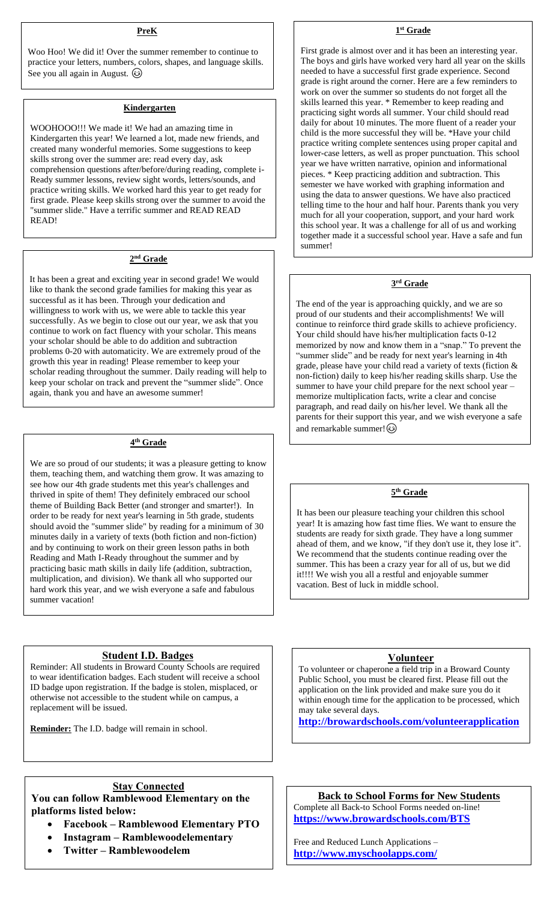#### **PreK**

Woo Hoo! We did it! Over the summer remember to continue to practice your letters, numbers, colors, shapes, and language skills. See you all again in August.

## **Kindergarten**

WOOHOOO!!! We made it! We had an amazing time in Kindergarten this year! We learned a lot, made new friends, and created many wonderful memories. Some suggestions to keep skills strong over the summer are: read every day, ask comprehension questions after/before/during reading, complete i-Ready summer lessons, review sight words, letters/sounds, and practice writing skills. We worked hard this year to get ready for first grade. Please keep skills strong over the summer to avoid the "summer slide." Have a terrific summer and READ READ READ!

#### **2 nd Grade**

It has been a great and exciting year in second grade! We would like to thank the second grade families for making this year as successful as it has been. Through your dedication and willingness to work with us, we were able to tackle this year successfully. As we begin to close out our year, we ask that you continue to work on fact fluency with your scholar. This means your scholar should be able to do addition and subtraction problems 0-20 with automaticity. We are extremely proud of the growth this year in reading! Please remember to keep your scholar reading throughout the summer. Daily reading will help to keep your scholar on track and prevent the "summer slide". Once again, thank you and have an awesome summer!

#### **4 th Grade**

We are so proud of our students; it was a pleasure getting to know them, teaching them, and watching them grow. It was amazing to see how our 4th grade students met this year's challenges and thrived in spite of them! They definitely embraced our school theme of Building Back Better (and stronger and smarter!). In order to be ready for next year's learning in 5th grade, students should avoid the "summer slide" by reading for a minimum of 30 minutes daily in a variety of texts (both fiction and non-fiction) and by continuing to work on their green lesson paths in both Reading and Math I-Ready throughout the summer and by practicing basic math skills in daily life (addition, subtraction, multiplication, and division). We thank all who supported our hard work this year, and we wish everyone a safe and fabulous summer vacation!

# **Student I.D. Badges**

Reminder: All students in Broward County Schools are required to wear identification badges. Each student will receive a school ID badge upon registration. If the badge is stolen, misplaced, or otherwise not accessible to the student while on campus, a replacement will be issued.

**Reminder:** The I.D. badge will remain in school.

## **Stay Connected**

**You can follow Ramblewood Elementary on the platforms listed below:**

- **Facebook – Ramblewood Elementary PTO**
- **Instagram – Ramblewoodelementary**
- **Twitter – Ramblewoodelem**

#### **1 st Grade**

First grade is almost over and it has been an interesting year. The boys and girls have worked very hard all year on the skills needed to have a successful first grade experience. Second grade is right around the corner. Here are a few reminders to work on over the summer so students do not forget all the skills learned this year. \* Remember to keep reading and practicing sight words all summer. Your child should read daily for about 10 minutes. The more fluent of a reader your child is the more successful they will be. \*Have your child practice writing complete sentences using proper capital and lower-case letters, as well as proper punctuation. This school year we have written narrative, opinion and informational pieces. \* Keep practicing addition and subtraction. This semester we have worked with graphing information and using the data to answer questions. We have also practiced telling time to the hour and half hour. Parents thank you very much for all your cooperation, support, and your hard work this school year. It was a challenge for all of us and working together made it a successful school year. Have a safe and fun summer!

#### **3 rd Grade**

The end of the year is approaching quickly, and we are so proud of our students and their accomplishments! We will continue to reinforce third grade skills to achieve proficiency. Your child should have his/her multiplication facts 0-12 memorized by now and know them in a "snap." To prevent the "summer slide" and be ready for next year's learning in 4th grade, please have your child read a variety of texts (fiction & non-fiction) daily to keep his/her reading skills sharp. Use the summer to have your child prepare for the next school year – memorize multiplication facts, write a clear and concise paragraph, and read daily on his/her level. We thank all the parents for their support this year, and we wish everyone a safe and remarkable summer!

## **5 th Grade**

It has been our pleasure teaching your children this school year! It is amazing how fast time flies. We want to ensure the students are ready for sixth grade. They have a long summer ahead of them, and we know, "if they don't use it, they lose it". We recommend that the students continue reading over the summer. This has been a crazy year for all of us, but we did it!!!! We wish you all a restful and enjoyable summer vacation. Best of luck in middle school.

#### **Volunteer**

To volunteer or chaperone a field trip in a Broward County Public School, you must be cleared first. Please fill out the application on the link provided and make sure you do it within enough time for the application to be processed, which may take several days.

**<http://browardschools.com/volunteerapplication>**

**Back to School Forms for New Students** Complete all Back-to School Forms needed on-line! **<https://www.browardschools.com/BTS>**

Free and Reduced Lunch Applications – **<http://www.myschoolapps.com/>**